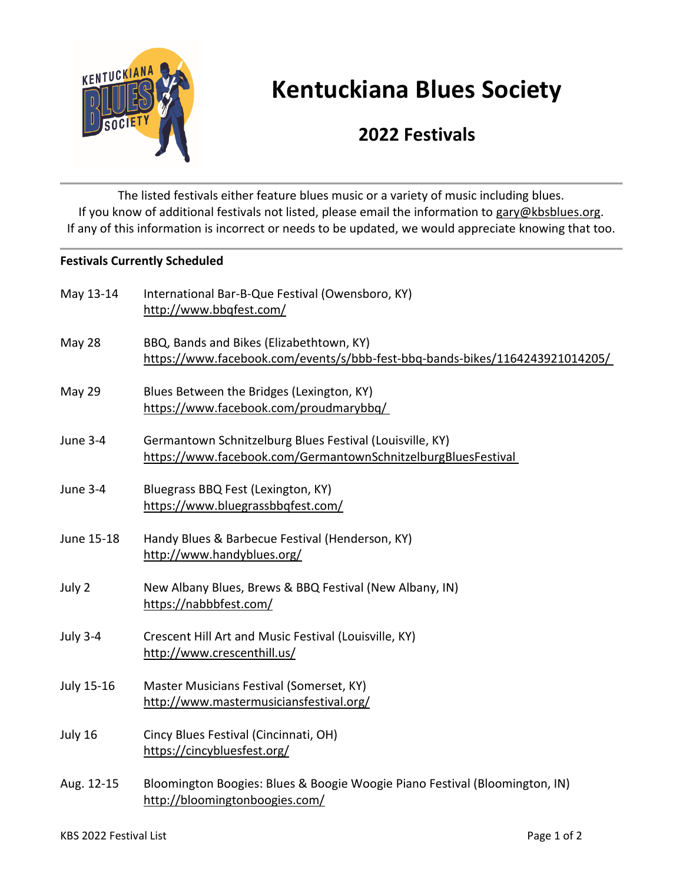

## **Kentuckiana Blues Society**

## **2022 Festivals**

The listed festivals either feature blues music or a variety of music including blues. If you know of additional festivals not listed, please email the information to [gary@kbsblues.org.](mailto:gary@kbsblues.org) If any of this information is incorrect or needs to be updated, we would appreciate knowing that too.

## **Festivals Currently Scheduled**

| May 13-14       | International Bar-B-Que Festival (Owensboro, KY)<br>http://www.bbqfest.com/                                               |
|-----------------|---------------------------------------------------------------------------------------------------------------------------|
| May 28          | BBQ, Bands and Bikes (Elizabethtown, KY)<br>https://www.facebook.com/events/s/bbb-fest-bbq-bands-bikes/1164243921014205/  |
| <b>May 29</b>   | Blues Between the Bridges (Lexington, KY)<br>https://www.facebook.com/proudmarybbq/                                       |
| <b>June 3-4</b> | Germantown Schnitzelburg Blues Festival (Louisville, KY)<br>https://www.facebook.com/GermantownSchnitzelburgBluesFestival |
| <b>June 3-4</b> | Bluegrass BBQ Fest (Lexington, KY)<br>https://www.bluegrassbbqfest.com/                                                   |
| June 15-18      | Handy Blues & Barbecue Festival (Henderson, KY)<br>http://www.handyblues.org/                                             |
| July 2          | New Albany Blues, Brews & BBQ Festival (New Albany, IN)<br>https://nabbbfest.com/                                         |
| <b>July 3-4</b> | Crescent Hill Art and Music Festival (Louisville, KY)<br>http://www.crescenthill.us/                                      |
| July 15-16      | Master Musicians Festival (Somerset, KY)<br>http://www.mastermusiciansfestival.org/                                       |
| July 16         | Cincy Blues Festival (Cincinnati, OH)<br>https://cincybluesfest.org/                                                      |
| Aug. 12-15      | Bloomington Boogies: Blues & Boogie Woogie Piano Festival (Bloomington, IN)<br>http://bloomingtonboogies.com/             |